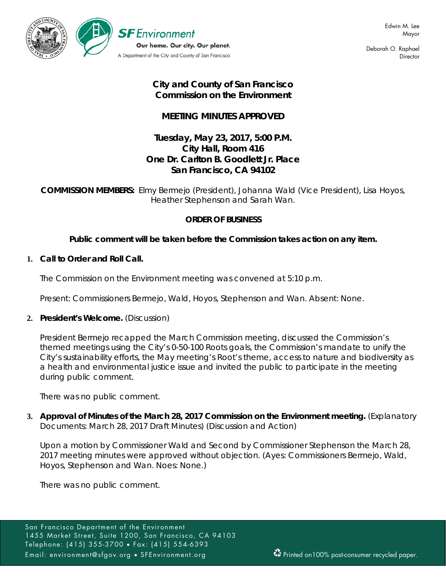

Deborah O. Raphael **Director** 

# **City and County of San Francisco Commission on the Environment**

# **MEETING MINUTES APPROVED**

# **Tuesday, May 23, 2017, 5:00 P.M. City Hall, Room 416 One Dr. Carlton B. Goodlett Jr. Place San Francisco, CA 94102**

**COMMISSION MEMBERS:** Elmy Bermejo (President), Johanna Wald (Vice President), Lisa Hoyos, Heather Stephenson and Sarah Wan.

### **ORDER OF BUSINESS**

## **Public comment will be taken before the Commission takes action on any item.**

### **1. Call to Order and Roll Call.**

The Commission on the Environment meeting was convened at 5:10 p.m.

Present: Commissioners Bermejo, Wald, Hoyos, Stephenson and Wan. Absent: None.

### **2. President's Welcome.** (Discussion)

President Bermejo recapped the March Commission meeting, discussed the Commission's themed meetings using the City's 0-50-100 Roots goals, the Commission's mandate to unify the City's sustainability efforts, the May meeting's Root's theme, access to nature and biodiversity as a health and environmental justice issue and invited the public to participate in the meeting during public comment.

There was no public comment.

**3. Approval of Minutes of the March 28, 2017 Commission on the Environment meeting.** (Explanatory Documents: March 28, 2017 Draft Minutes) (Discussion and Action)

Upon a motion by Commissioner Wald and Second by Commissioner Stephenson the March 28, 2017 meeting minutes were approved without objection. (Ayes: Commissioners Bermejo, Wald, Hoyos, Stephenson and Wan. Noes: None.)

There was no public comment.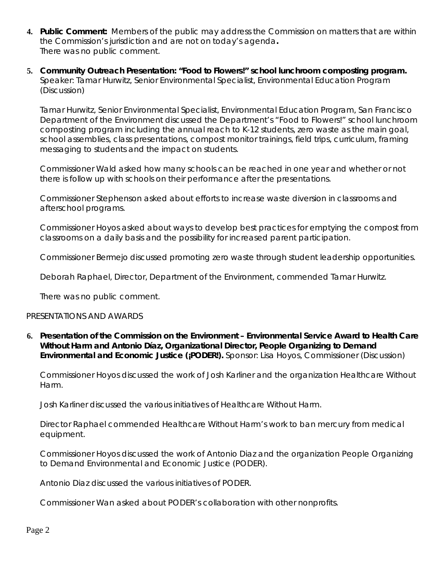- **4. Public Comment:** Members of the public may address the Commission on matters that are within the Commission's jurisdiction and are not on today's agenda**.** There was no public comment.
- **5. Community Outreach Presentation: "Food to Flowers!" school lunchroom composting program.**  Speaker: Tamar Hurwitz, Senior Environmental Specialist, Environmental Education Program (Discussion)

Tamar Hurwitz, Senior Environmental Specialist, Environmental Education Program, San Francisco Department of the Environment discussed the Department's "Food to Flowers!" school lunchroom composting program including the annual reach to K-12 students, zero waste as the main goal, school assemblies, class presentations, compost monitor trainings, field trips, curriculum, framing messaging to students and the impact on students.

Commissioner Wald asked how many schools can be reached in one year and whether or not there is follow up with schools on their performance after the presentations.

Commissioner Stephenson asked about efforts to increase waste diversion in classrooms and afterschool programs.

Commissioner Hoyos asked about ways to develop best practices for emptying the compost from classrooms on a daily basis and the possibility for increased parent participation.

Commissioner Bermejo discussed promoting zero waste through student leadership opportunities.

Deborah Raphael, Director, Department of the Environment, commended Tamar Hurwitz.

There was no public comment.

#### PRESENTATIONS AND AWARDS

**6. Presentation of the Commission on the Environment – Environmental Service Award to Health Care Without Harm and Antonio Díaz, Organizational Director, People Organizing to Demand Environmental and Economic Justice (¡PODER!).** Sponsor: Lisa Hoyos, Commissioner (Discussion)

Commissioner Hoyos discussed the work of Josh Karliner and the organization Healthcare Without Harm.

Josh Karliner discussed the various initiatives of Healthcare Without Harm.

Director Raphael commended Healthcare Without Harm's work to ban mercury from medical equipment.

Commissioner Hoyos discussed the work of Antonio Diaz and the organization People Organizing to Demand Environmental and Economic Justice (PODER).

Antonio Diaz discussed the various initiatives of PODER.

Commissioner Wan asked about PODER's collaboration with other nonprofits.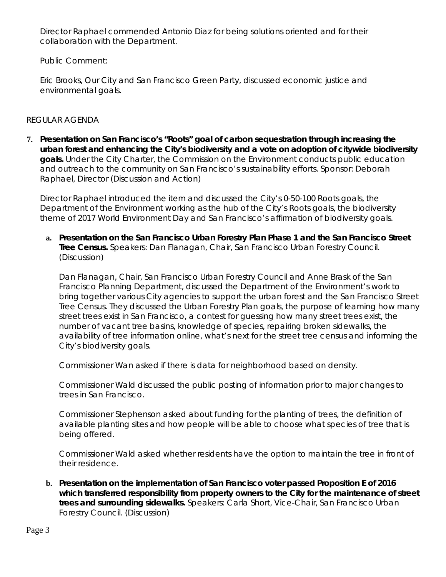Director Raphael commended Antonio Diaz for being solutions oriented and for their collaboration with the Department.

Public Comment:

Eric Brooks, Our City and San Francisco Green Party, discussed economic justice and environmental goals.

### REGULAR AGENDA

**7. Presentation on San Francisco's "Roots" goal of carbon sequestration through increasing the urban forest and enhancing the City's biodiversity and a vote on adoption of citywide biodiversity goals.** Under the City Charter, the Commission on the Environment conducts public education and outreach to the community on San Francisco's sustainability efforts. Sponsor: Deborah Raphael, Director (Discussion and Action)

Director Raphael introduced the item and discussed the City's 0-50-100 Roots goals, the Department of the Environment working as the hub of the City's Roots goals, the biodiversity theme of 2017 World Environment Day and San Francisco's affirmation of biodiversity goals.

**a. Presentation on the San Francisco Urban Forestry Plan Phase 1 and the San Francisco Street Tree Census.** Speakers: Dan Flanagan, Chair, San Francisco Urban Forestry Council. (Discussion)

Dan Flanagan, Chair, San Francisco Urban Forestry Council and Anne Brask of the San Francisco Planning Department, discussed the Department of the Environment's work to bring together various City agencies to support the urban forest and the San Francisco Street Tree Census. They discussed the Urban Forestry Plan goals, the purpose of learning how many street trees exist in San Francisco, a contest for guessing how many street trees exist, the number of vacant tree basins, knowledge of species, repairing broken sidewalks, the availability of tree information online, what's next for the street tree census and informing the City's biodiversity goals.

Commissioner Wan asked if there is data for neighborhood based on density.

Commissioner Wald discussed the public posting of information prior to major changes to trees in San Francisco.

Commissioner Stephenson asked about funding for the planting of trees, the definition of available planting sites and how people will be able to choose what species of tree that is being offered.

Commissioner Wald asked whether residents have the option to maintain the tree in front of their residence.

**b. Presentation on the implementation of San Francisco voter passed Proposition E of 2016 which transferred responsibility from property owners to the City for the maintenance of street trees and surrounding sidewalks.** Speakers: Carla Short, Vice-Chair, San Francisco Urban Forestry Council. (Discussion)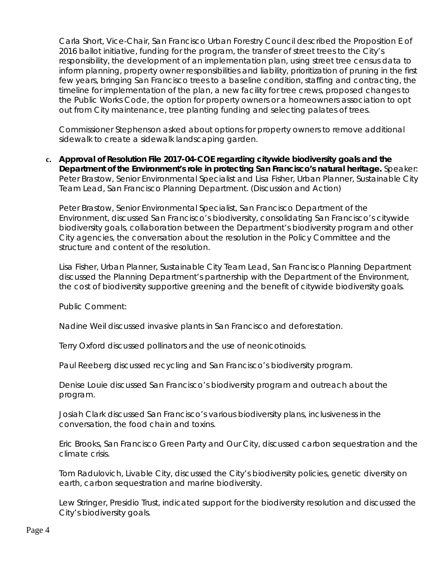Carla Short, Vice-Chair, San Francisco Urban Forestry Council described the Proposition E of 2016 ballot initiative, funding for the program, the transfer of street trees to the City's responsibility, the development of an implementation plan, using street tree census data to inform planning, property owner responsibilities and liability, prioritization of pruning in the first few years, bringing San Francisco trees to a baseline condition, staffing and contracting, the timeline for implementation of the plan, a new facility for tree crews, proposed changes to the Public Works Code, the option for property owners or a homeowners association to opt out from City maintenance, tree planting funding and selecting palates of trees.

Commissioner Stephenson asked about options for property owners to remove additional sidewalk to create a sidewalk landscaping garden.

**c. Approval of Resolution File 2017-04-COE regarding citywide biodiversity goals and the Department of the Environment's role in protecting San Francisco's natural heritage.** Speaker: Peter Brastow, Senior Environmental Specialist and Lisa Fisher, Urban Planner, Sustainable City Team Lead, San Francisco Planning Department. (Discussion and Action)

Peter Brastow, Senior Environmental Specialist, San Francisco Department of the Environment, discussed San Francisco's biodiversity, consolidating San Francisco's citywide biodiversity goals, collaboration between the Department's biodiversity program and other City agencies, the conversation about the resolution in the Policy Committee and the structure and content of the resolution.

Lisa Fisher, Urban Planner, Sustainable City Team Lead, San Francisco Planning Department discussed the Planning Department's partnership with the Department of the Environment, the cost of biodiversity supportive greening and the benefit of citywide biodiversity goals.

Public Comment:

Nadine Weil discussed invasive plants in San Francisco and deforestation.

Terry Oxford discussed pollinators and the use of neonicotinoids.

Paul Reeberg discussed recycling and San Francisco's biodiversity program.

Denise Louie discussed San Francisco's biodiversity program and outreach about the program.

Josiah Clark discussed San Francisco's various biodiversity plans, inclusiveness in the conversation, the food chain and toxins.

Eric Brooks, San Francisco Green Party and Our City, discussed carbon sequestration and the climate crisis.

Tom Radulovich, Livable City, discussed the City's biodiversity policies, genetic diversity on earth, carbon sequestration and marine biodiversity.

Lew Stringer, Presidio Trust, indicated support for the biodiversity resolution and discussed the City's biodiversity goals.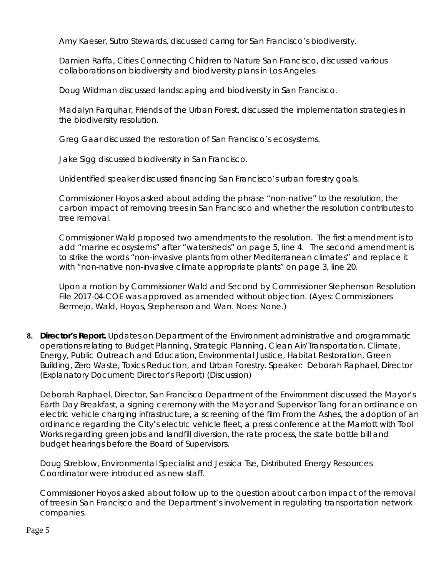Amy Kaeser, Sutro Stewards, discussed caring for San Francisco's biodiversity.

Damien Raffa, Cities Connecting Children to Nature San Francisco, discussed various collaborations on biodiversity and biodiversity plans in Los Angeles.

Doug Wildman discussed landscaping and biodiversity in San Francisco.

Madalyn Farquhar, Friends of the Urban Forest, discussed the implementation strategies in the biodiversity resolution.

Greg Gaar discussed the restoration of San Francisco's ecosystems.

Jake Sigg discussed biodiversity in San Francisco.

Unidentified speaker discussed financing San Francisco's urban forestry goals.

Commissioner Hoyos asked about adding the phrase "non-native" to the resolution, the carbon impact of removing trees in San Francisco and whether the resolution contributes to tree removal.

Commissioner Wald proposed two amendments to the resolution. The first amendment is to add "marine ecosystems" after "watersheds" on page 5, line 4. The second amendment is to strike the words "non-invasive plants from other Mediterranean climates" and replace it with "non-native non-invasive climate appropriate plants" on page 3, line 20.

Upon a motion by Commissioner Wald and Second by Commissioner Stephenson Resolution File 2017-04-COE was approved as amended without objection. (Ayes: Commissioners Bermejo, Wald, Hoyos, Stephenson and Wan. Noes: None.)

**8. Director's Report***.* Updates on Department of the Environment administrative and programmatic operations relating to Budget Planning, Strategic Planning, Clean Air/Transportation, Climate, Energy, Public Outreach and Education, Environmental Justice, Habitat Restoration, Green Building, Zero Waste, Toxics Reduction, and Urban Forestry. Speaker: Deborah Raphael, Director (Explanatory Document: Director's Report) (Discussion)

Deborah Raphael, Director, San Francisco Department of the Environment discussed the Mayor's Earth Day Breakfast, a signing ceremony with the Mayor and Supervisor Tang for an ordinance on electric vehicle charging infrastructure, a screening of the film From the Ashes, the adoption of an ordinance regarding the City's electric vehicle fleet, a press conference at the Marriott with Tool Works regarding green jobs and landfill diversion, the rate process, the state bottle bill and budget hearings before the Board of Supervisors.

Doug Streblow, Environmental Specialist and Jessica Tse, Distributed Energy Resources Coordinator were introduced as new staff.

Commissioner Hoyos asked about follow up to the question about carbon impact of the removal of trees in San Francisco and the Department's involvement in regulating transportation network companies.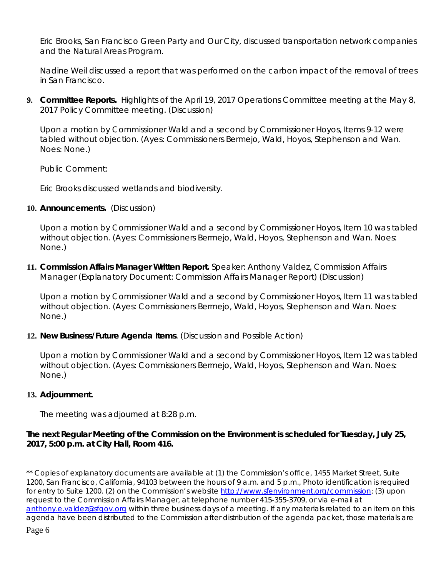Eric Brooks, San Francisco Green Party and Our City, discussed transportation network companies and the Natural Areas Program.

Nadine Weil discussed a report that was performed on the carbon impact of the removal of trees in San Francisco.

**9. Committee Reports.** Highlights of the April 19, 2017 Operations Committee meeting at the May 8, 2017 Policy Committee meeting. (Discussion)

Upon a motion by Commissioner Wald and a second by Commissioner Hoyos, Items 9-12 were tabled without objection. (Ayes: Commissioners Bermejo, Wald, Hoyos, Stephenson and Wan. Noes: None.)

Public Comment:

Eric Brooks discussed wetlands and biodiversity.

### **10. Announcements.** (Discussion)

Upon a motion by Commissioner Wald and a second by Commissioner Hoyos, Item 10 was tabled without objection. (Ayes: Commissioners Bermejo, Wald, Hoyos, Stephenson and Wan. Noes: None.)

**11. Commission Affairs Manager Written Report.** Speaker: Anthony Valdez, Commission Affairs Manager (Explanatory Document: Commission Affairs Manager Report) (Discussion)

Upon a motion by Commissioner Wald and a second by Commissioner Hoyos, Item 11 was tabled without objection. (Ayes: Commissioners Bermejo, Wald, Hoyos, Stephenson and Wan. Noes: None.)

#### **12. New Business/Future Agenda Items**. (Discussion and Possible Action)

Upon a motion by Commissioner Wald and a second by Commissioner Hoyos, Item 12 was tabled without objection. (Ayes: Commissioners Bermejo, Wald, Hoyos, Stephenson and Wan. Noes: None.)

#### **13. Adjournment.**

The meeting was adjourned at 8:28 p.m.

### **The next Regular Meeting of the Commission on the Environment is scheduled for Tuesday, July 25, 2017, 5:00 p.m. at City Hall, Room 416.**

\*\* Copies of explanatory documents are available at (1) the Commission's office, 1455 Market Street, Suite 1200, San Francisco, California, 94103 between the hours of 9 a.m. and 5 p.m., Photo identification is required for entry to Suite 1200. (2) on the Commission's website [http://www.sfenvironment.org/commission;](http://www.sfenvironment.org/commission) (3) upon request to the Commission Affairs Manager, at telephone number 415-355-3709, or via e-mail at [anthony.e.valdez@sfgov.org](mailto:anthony.e.valdez@sfgov.org) within three business days of a meeting. If any materials related to an item on this agenda have been distributed to the Commission after distribution of the agenda packet, those materials are